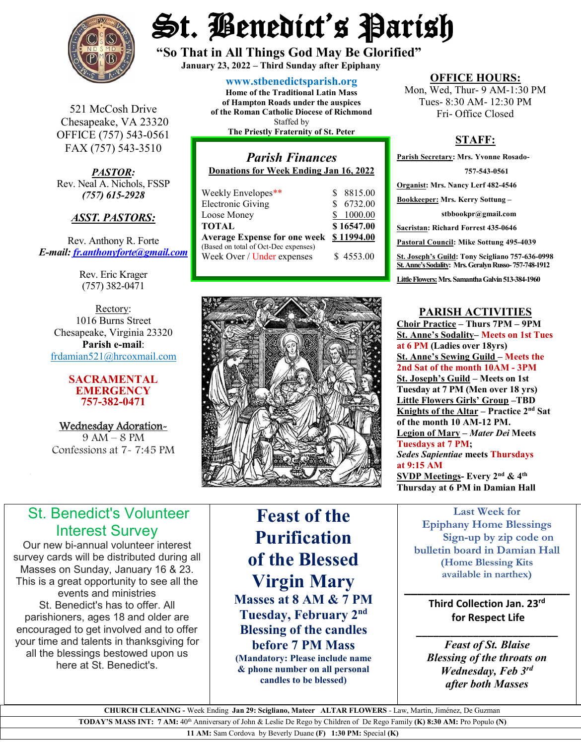

St. Benedict's Parish

**"So That in All Things God May Be Glorified" January 23, 2022 – Third Sunday after Epiphany**

521 McCosh Drive Chesapeake, VA 23320 OFFICE (757) 543-0561 FAX (757) 543-3510

*PASTOR:* Rev. Neal A. Nichols, FSSP *(757) 615-2928* 

### *ASST. PASTORS:*

Rev. Anthony R. Forte *E-mail: [fr.anthonyforte@gmail.com](mailto:fr.anthonyforte@gmail.com)*

> Rev. Eric Krager (757) 382-0471

Rectory: 1016 Burns Street Chesapeake, Virginia 23320 **Parish e-mail**: [frdamian521@hrcoxmail.com](mailto:frdamian521@hrcoxmail.com)

#### **SACRAMENTAL EMERGENCY 757-382-0471**

Wednesday Adoration-9 AM – 8 PM Confessions at 7- 7:45 PM

**[www.stbenedictsparish.org](http://www.stbenedictsparish.org/)**

**Home of the Traditional Latin Mass of Hampton Roads under the auspices of the Roman Catholic Diocese of Richmond** Staffed by **The Priestly Fraternity of St. Peter**

### *Parish Finances* **Donations for Week Ending Jan 16, 2022** Weekly Envelopes\*\* \$ 8815.00<br>Electronic Giving \$ 6732.00 Electronic Giving Loose Money \$ 1000.00 **TOTAL \$ 16547.00 Average Expense for one week \$ 11994.00** (Based on total of Oct-Dec expenses)

Week Over / Under expenses \$4553.00



**OFFICE HOURS:**

Mon, Wed, Thur- 9 AM-1:30 PM Tues- 8:30 AM- 12:30 PM Fri- Office Closed

## **STAFF:**

**Parish Secretary: Mrs. Yvonne Rosado- 757-543-0561 Organist: Mrs. Nancy Lerf 482-4546 Bookkeeper: Mrs. Kerry Sottung – stbbookpr@gmail.com Sacristan: Richard Forrest 435-0646 Pastoral Council: Mike Sottung 495-4039 St. Joseph's Guild: Tony Scigliano 757-636-0998 St. Anne's Sodality: Mrs. Geralyn Russo-757-748-1912** Little Flowers: Mrs. Samantha Galvin 513-384-1960

## **PARISH ACTIVITIES**

**Choir Practice – Thurs 7PM – 9PM St. Anne's Sodality– Meets on 1st Tues at 6 PM (Ladies over 18yrs) St. Anne's Sewing Guild – Meets the 2nd Sat of the month 10AM - 3PM St. Joseph's Guild – Meets on 1st Tuesday at 7 PM (Men over 18 yrs) Little Flowers Girls' Group –TBD Knights of the Altar – Practice 2nd Sat of the month 10 AM-12 PM. Legion of Mary –** *Mater Dei* **Meets Tuesdays at 7 PM;**  *Sedes Sapientiae* **meets Thursdays at 9:15 AM SVDP Meetings- Every 2nd & 4th Thursday at 6 PM in Damian Hall**

> **Last Week for Epiphany Home Blessings Sign-up by zip code on bulletin board in Damian Hall (Home Blessing Kits available in narthex)**

## **\_\_\_\_\_\_\_\_\_\_\_\_\_\_\_\_\_\_\_\_\_\_\_\_\_ Third Collection Jan. 23rd for Respect Life**

**\_\_\_\_\_\_\_\_\_\_\_\_\_\_\_\_\_\_\_\_\_\_\_\_\_** *Feast of St. Blaise Blessing of the throats on Wednesday, Feb 3rd after both Masses*

# St. Benedict's Volunteer Interest Survey

Our new bi-annual volunteer interest survey cards will be distributed during all Masses on Sunday, January 16 & 23. This is a great opportunity to see all the events and ministries St. Benedict's has to offer. All parishioners, ages 18 and older are encouraged to get involved and to offer your time and talents in thanksgiving for all the blessings bestowed upon us here at St. Benedict's.

**Feast of the Purification of the Blessed Virgin Mary Masses at 8 AM & 7 PM Tuesday, February 2nd Blessing of the candles before 7 PM Mass (Mandatory: Please include name & phone number on all personal**  

 **CHURCH CLEANING -** Week Ending **Jan 29: Scigliano, Mateer ALTAR FLOWERS** - Law, Martin, Jiménez, De Guzman **TODAY'S MASS INT: 7 AM:** 40th Anniversary of John & Leslie De Rego by Children of De Rego Family **(K) 8:30 AM:** Pro Populo **(N)** 

**candles to be blessed)**

**11 AM:** Sam Cordova by Beverly Duane **(F) 1:30 PM:** Special **(K)**